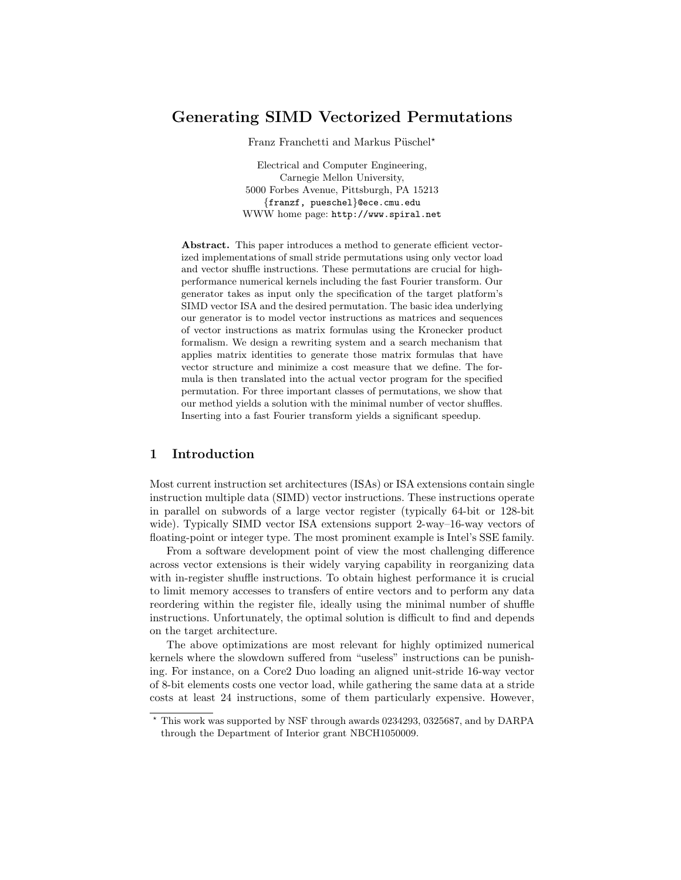# Generating SIMD Vectorized Permutations

Franz Franchetti and Markus Püschel\*

Electrical and Computer Engineering, Carnegie Mellon University, 5000 Forbes Avenue, Pittsburgh, PA 15213 {franzf, pueschel}@ece.cmu.edu WWW home page: http://www.spiral.net

Abstract. This paper introduces a method to generate efficient vectorized implementations of small stride permutations using only vector load and vector shuffle instructions. These permutations are crucial for highperformance numerical kernels including the fast Fourier transform. Our generator takes as input only the specification of the target platform's SIMD vector ISA and the desired permutation. The basic idea underlying our generator is to model vector instructions as matrices and sequences of vector instructions as matrix formulas using the Kronecker product formalism. We design a rewriting system and a search mechanism that applies matrix identities to generate those matrix formulas that have vector structure and minimize a cost measure that we define. The formula is then translated into the actual vector program for the specified permutation. For three important classes of permutations, we show that our method yields a solution with the minimal number of vector shuffles. Inserting into a fast Fourier transform yields a significant speedup.

# 1 Introduction

Most current instruction set architectures (ISAs) or ISA extensions contain single instruction multiple data (SIMD) vector instructions. These instructions operate in parallel on subwords of a large vector register (typically 64-bit or 128-bit wide). Typically SIMD vector ISA extensions support 2-way–16-way vectors of floating-point or integer type. The most prominent example is Intel's SSE family.

From a software development point of view the most challenging difference across vector extensions is their widely varying capability in reorganizing data with in-register shuffle instructions. To obtain highest performance it is crucial to limit memory accesses to transfers of entire vectors and to perform any data reordering within the register file, ideally using the minimal number of shuffle instructions. Unfortunately, the optimal solution is difficult to find and depends on the target architecture.

The above optimizations are most relevant for highly optimized numerical kernels where the slowdown suffered from "useless" instructions can be punishing. For instance, on a Core2 Duo loading an aligned unit-stride 16-way vector of 8-bit elements costs one vector load, while gathering the same data at a stride costs at least 24 instructions, some of them particularly expensive. However,

<sup>?</sup> This work was supported by NSF through awards 0234293, 0325687, and by DARPA through the Department of Interior grant NBCH1050009.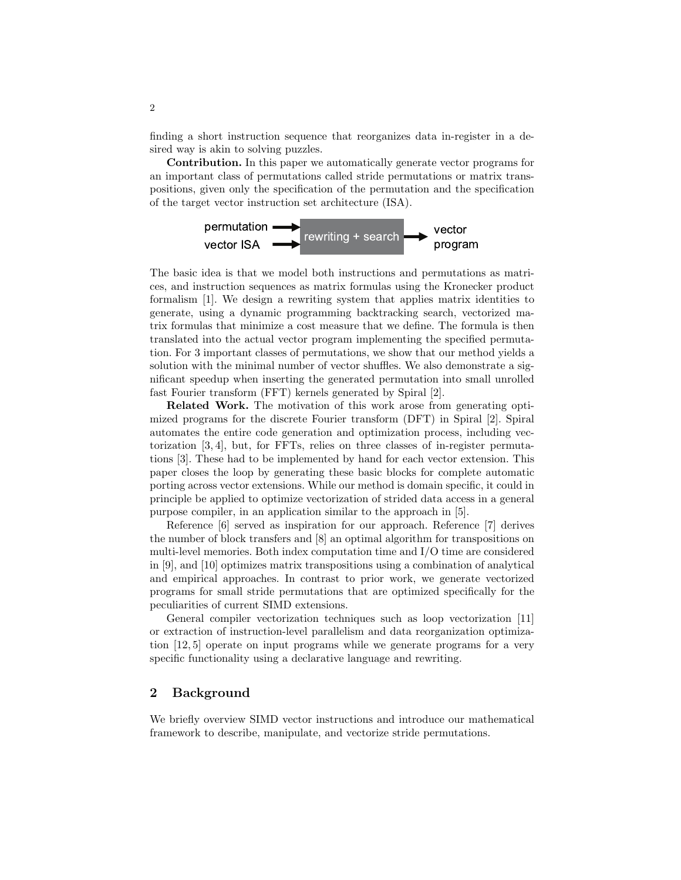finding a short instruction sequence that reorganizes data in-register in a desired way is akin to solving puzzles.

Contribution. In this paper we automatically generate vector programs for an important class of permutations called stride permutations or matrix transpositions, given only the specification of the permutation and the specification of the target vector instruction set architecture (ISA).



The basic idea is that we model both instructions and permutations as matrices, and instruction sequences as matrix formulas using the Kronecker product formalism [1]. We design a rewriting system that applies matrix identities to generate, using a dynamic programming backtracking search, vectorized matrix formulas that minimize a cost measure that we define. The formula is then translated into the actual vector program implementing the specified permutation. For 3 important classes of permutations, we show that our method yields a solution with the minimal number of vector shuffles. We also demonstrate a significant speedup when inserting the generated permutation into small unrolled fast Fourier transform (FFT) kernels generated by Spiral [2].

Related Work. The motivation of this work arose from generating optimized programs for the discrete Fourier transform (DFT) in Spiral [2]. Spiral automates the entire code generation and optimization process, including vectorization [3, 4], but, for FFTs, relies on three classes of in-register permutations [3]. These had to be implemented by hand for each vector extension. This paper closes the loop by generating these basic blocks for complete automatic porting across vector extensions. While our method is domain specific, it could in principle be applied to optimize vectorization of strided data access in a general purpose compiler, in an application similar to the approach in [5].

Reference [6] served as inspiration for our approach. Reference [7] derives the number of block transfers and [8] an optimal algorithm for transpositions on multi-level memories. Both index computation time and I/O time are considered in [9], and [10] optimizes matrix transpositions using a combination of analytical and empirical approaches. In contrast to prior work, we generate vectorized programs for small stride permutations that are optimized specifically for the peculiarities of current SIMD extensions.

General compiler vectorization techniques such as loop vectorization [11] or extraction of instruction-level parallelism and data reorganization optimization [12, 5] operate on input programs while we generate programs for a very specific functionality using a declarative language and rewriting.

### 2 Background

We briefly overview SIMD vector instructions and introduce our mathematical framework to describe, manipulate, and vectorize stride permutations.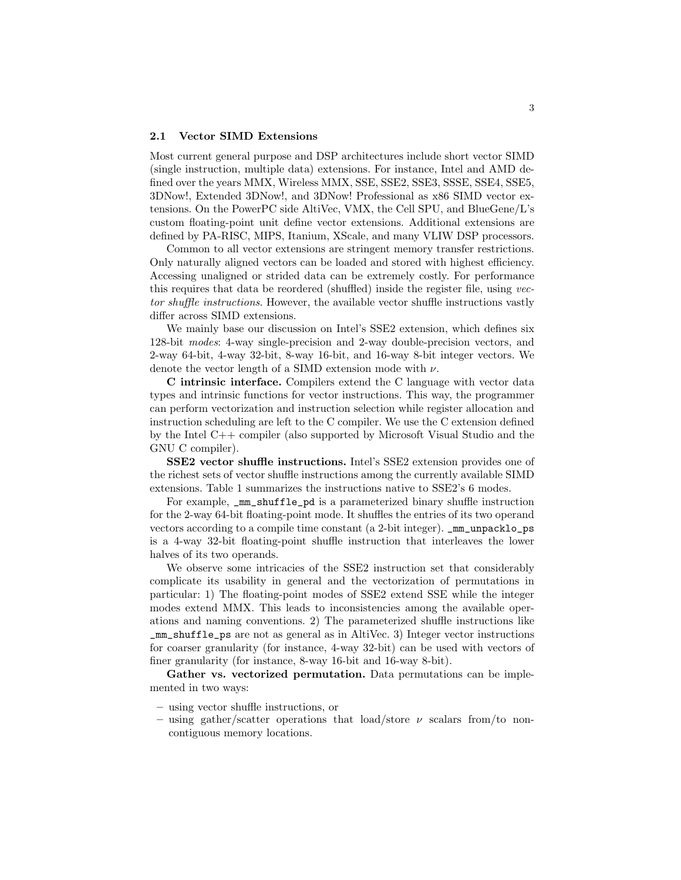#### 2.1 Vector SIMD Extensions

Most current general purpose and DSP architectures include short vector SIMD (single instruction, multiple data) extensions. For instance, Intel and AMD defined over the years MMX, Wireless MMX, SSE, SSE2, SSE3, SSSE, SSE4, SSE5, 3DNow!, Extended 3DNow!, and 3DNow! Professional as x86 SIMD vector extensions. On the PowerPC side AltiVec, VMX, the Cell SPU, and BlueGene/L's custom floating-point unit define vector extensions. Additional extensions are defined by PA-RISC, MIPS, Itanium, XScale, and many VLIW DSP processors.

Common to all vector extensions are stringent memory transfer restrictions. Only naturally aligned vectors can be loaded and stored with highest efficiency. Accessing unaligned or strided data can be extremely costly. For performance this requires that data be reordered (shuffled) inside the register file, using vector shuffle instructions. However, the available vector shuffle instructions vastly differ across SIMD extensions.

We mainly base our discussion on Intel's SSE2 extension, which defines six 128-bit modes: 4-way single-precision and 2-way double-precision vectors, and 2-way 64-bit, 4-way 32-bit, 8-way 16-bit, and 16-way 8-bit integer vectors. We denote the vector length of a SIMD extension mode with  $\nu$ .

C intrinsic interface. Compilers extend the C language with vector data types and intrinsic functions for vector instructions. This way, the programmer can perform vectorization and instruction selection while register allocation and instruction scheduling are left to the C compiler. We use the C extension defined by the Intel C++ compiler (also supported by Microsoft Visual Studio and the GNU C compiler).

SSE2 vector shuffle instructions. Intel's SSE2 extension provides one of the richest sets of vector shuffle instructions among the currently available SIMD extensions. Table 1 summarizes the instructions native to SSE2's 6 modes.

For example, \_mm\_shuffle\_pd is a parameterized binary shuffle instruction for the 2-way 64-bit floating-point mode. It shuffles the entries of its two operand vectors according to a compile time constant (a 2-bit integer). \_mm\_unpacklo\_ps is a 4-way 32-bit floating-point shuffle instruction that interleaves the lower halves of its two operands.

We observe some intricacies of the SSE2 instruction set that considerably complicate its usability in general and the vectorization of permutations in particular: 1) The floating-point modes of SSE2 extend SSE while the integer modes extend MMX. This leads to inconsistencies among the available operations and naming conventions. 2) The parameterized shuffle instructions like \_mm\_shuffle\_ps are not as general as in AltiVec. 3) Integer vector instructions for coarser granularity (for instance, 4-way 32-bit) can be used with vectors of finer granularity (for instance, 8-way 16-bit and 16-way 8-bit).

Gather vs. vectorized permutation. Data permutations can be implemented in two ways:

- using vector shuffle instructions, or
- using gather/scatter operations that load/store  $\nu$  scalars from/to noncontiguous memory locations.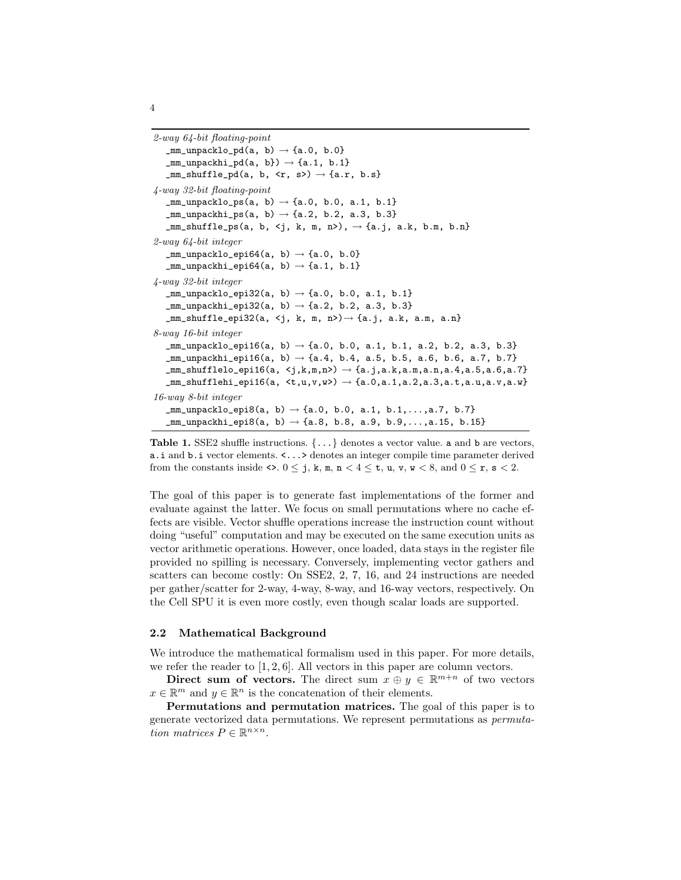```
2-way 64-bit floating-point
   \texttt{\_mm\_unpacklo\_pd(a, b)} \rightarrow \texttt{\{a.0, b.0\}}\texttt{\_mm\_unpackhi\_pd(a, b)} \rightarrow \texttt{\{a.1, b.1\}}\texttt{mm\_shuffle\_pd(a, b, \langle r, s \rangle) \rightarrow \{a.r, b.s\}}4-way 32-bit floating-point
   \text{\tt mm\_unpacklo\_ps(a, b)} \rightarrow \text{\{a.0, b.0, a.1, b.1\}}mm\_unpackhi_ps(a, b) \rightarrow \{a.2, b.2, a.3, b.3\}\texttt{mm\_shuffle}ps(a, b, <j, k, m, n>), \rightarrow {a.j, a.k, b.m, b.n}
2-way 64-bit integer
   \texttt{mm\_unpacklo\_epi64(a, b)} \rightarrow \text{a.0, b.0}\texttt{\_mm\_unpackhi\_epi64(a, b)} \rightarrow \texttt{\{a.1, b.1\}}4-way 32-bit integer
   \text{\tt _mm\_unpacklo\_epi32(a, b)} \to \text{\{a.0, b.0, a.1, b.1\}}mm\_unpackhi_epi32(a, b) \rightarrow \{a.2, b.2, a.3, b.3\}\texttt{mm\_shuffle\_epi32(a, 5, k, m, n>)} \rightarrow \texttt{a.j, a.k, a.m, a.n}8-way 16-bit integer
   \text{\texttt{mm\_unpacklo\_epi16(a, b)} \rightarrow \text{\{a.0, b.0, a.1, b.1, a.2, b.2, a.3, b.3\}}\text{\texttt{mm\_unpackhi}} \text{epi16(a, b)} \rightarrow \{a.4, b.4, a.5, b.5, a.6, b.6, a.7, b.7\}\_mm\_shufflelo\_epi16(a, \langle j,k,m,n\rangle) \rightarrow \{a.j,a.k,a.m,a.n,a.4,a.5,a.6,a.7\}\texttt{mm\_shufflehi\_epi16(a, < t,u,v,w)} \rightarrow \texttt{\{a.0,a.1,a.2,a.3,a.t,a.u,a.v,a.w\}}16-way 8-bit integer
    \texttt{mm\_unpacklo\_epi8(a, b)} \rightarrow \texttt{\{a.0, b.0, a.1, b.1, \ldots, a.7, b.7\}}\texttt{mm\_unpackhi\_epi8(a, b)} \rightarrow \texttt{\{a.8, b.8, a.9, b.9, \ldots, a.15, b.15\}}
```
**Table 1.** SSE2 shuffle instructions.  $\{\ldots\}$  denotes a vector value. **a** and **b** are vectors, a.i and b.i vector elements. <...> denotes an integer compile time parameter derived from the constants inside  $\langle \cdot, 0 \leq j, k, m, n \leq 4 \leq t, u, v, w \leq 8, \text{ and } 0 \leq r, s \leq 2.$ 

The goal of this paper is to generate fast implementations of the former and evaluate against the latter. We focus on small permutations where no cache effects are visible. Vector shuffle operations increase the instruction count without doing "useful" computation and may be executed on the same execution units as vector arithmetic operations. However, once loaded, data stays in the register file provided no spilling is necessary. Conversely, implementing vector gathers and scatters can become costly: On SSE2, 2, 7, 16, and 24 instructions are needed per gather/scatter for 2-way, 4-way, 8-way, and 16-way vectors, respectively. On the Cell SPU it is even more costly, even though scalar loads are supported.

#### 2.2 Mathematical Background

We introduce the mathematical formalism used in this paper. For more details, we refer the reader to  $[1, 2, 6]$ . All vectors in this paper are column vectors.

Direct sum of vectors. The direct sum  $x \oplus y \in \mathbb{R}^{m+n}$  of two vectors  $x \in \mathbb{R}^m$  and  $y \in \mathbb{R}^n$  is the concatenation of their elements.

Permutations and permutation matrices. The goal of this paper is to generate vectorized data permutations. We represent permutations as permutation matrices  $P \in \mathbb{R}^{n \times n}$ .

4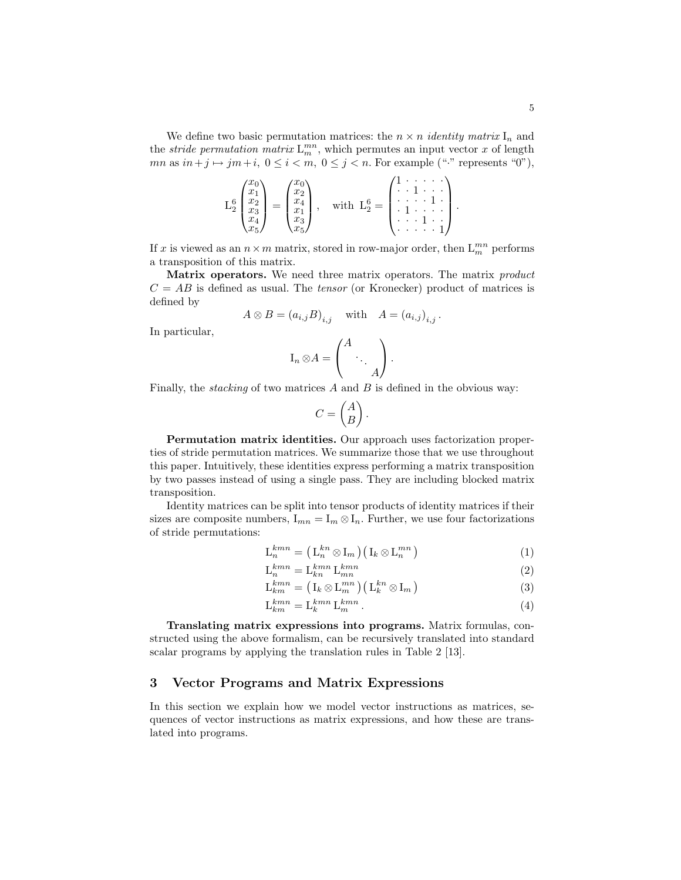We define two basic permutation matrices: the  $n \times n$  *identity matrix*  $I_n$  and the *stride permutation matrix*  $L_m^{mn}$ , which permutes an input vector x of length  $mn$  as  $in+j \mapsto jm+i$ ,  $0 \le i < m$ ,  $0 \le j < n$ . For example ("" represents "0"),

$$
L_2^6 \begin{pmatrix} x_0 \\ x_1 \\ x_2 \\ x_3 \\ x_4 \\ x_5 \end{pmatrix} = \begin{pmatrix} x_0 \\ x_2 \\ x_4 \\ x_1 \\ x_3 \\ x_5 \end{pmatrix}, \quad \text{with } L_2^6 = \begin{pmatrix} 1 & \cdots & \cdots & \cdots \\ \cdot & 1 & \cdots & \cdots \\ \cdot & \cdots & 1 & \cdots \\ \cdot & 1 & \cdots & \cdots \\ \cdots & \cdots & \cdots & 1 \end{pmatrix}.
$$

If x is viewed as an  $n \times m$  matrix, stored in row-major order, then  $L_m^{mn}$  performs a transposition of this matrix.

Matrix operators. We need three matrix operators. The matrix *product*  $C = AB$  is defined as usual. The *tensor* (or Kronecker) product of matrices is defined by

$$
A \otimes B = (a_{i,j}B)_{i,j} \quad \text{with} \quad A = (a_{i,j})_{i,j}.
$$

In particular,

$$
\mathcal{I}_n \otimes A = \begin{pmatrix} A & & \\ & \ddots & \\ & & A \end{pmatrix}.
$$

Finally, the *stacking* of two matrices  $A$  and  $B$  is defined in the obvious way:

$$
C = \begin{pmatrix} A \\ B \end{pmatrix}.
$$

Permutation matrix identities. Our approach uses factorization properties of stride permutation matrices. We summarize those that we use throughout this paper. Intuitively, these identities express performing a matrix transposition by two passes instead of using a single pass. They are including blocked matrix transposition.

Identity matrices can be split into tensor products of identity matrices if their sizes are composite numbers,  $I_{mn} = I_m \otimes I_n$ . Further, we use four factorizations of stride permutations:

$$
\mathcal{L}_n^{kmn} = (\mathcal{L}_n^{kn} \otimes \mathcal{I}_m) (\mathcal{I}_k \otimes \mathcal{L}_n^{mn}) \tag{1}
$$

$$
\mathcal{L}_n^{kmn} = \mathcal{L}_{kn}^{kmn} \mathcal{L}_{mn}^{kmn} \tag{2}
$$

$$
L_{kn}^{kmn} = (I_k \otimes L_m^{mn}) (L_k^{kn} \otimes I_m)
$$
\n(3)

$$
\mathcal{L}_{km}^{kmn} = \mathcal{L}_k^{kmn} \mathcal{L}_m^{kmn} \,. \tag{4}
$$

Translating matrix expressions into programs. Matrix formulas, constructed using the above formalism, can be recursively translated into standard scalar programs by applying the translation rules in Table 2 [13].

### 3 Vector Programs and Matrix Expressions

In this section we explain how we model vector instructions as matrices, sequences of vector instructions as matrix expressions, and how these are translated into programs.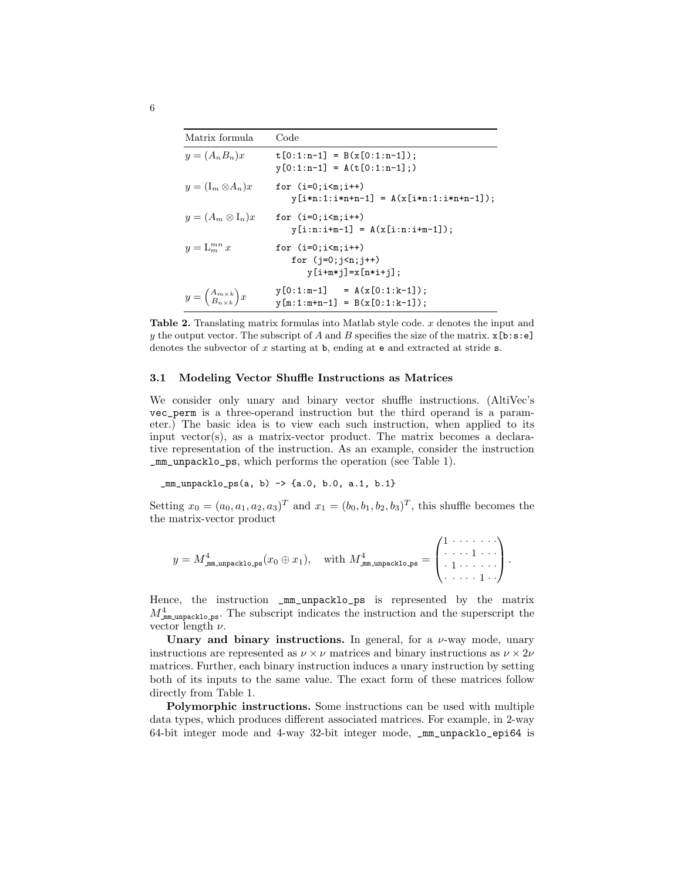| Matrix formula                                                         | Code                                                                               |
|------------------------------------------------------------------------|------------------------------------------------------------------------------------|
| $y=(A_nB_n)x$                                                          | $t[0:1:n-1] = B(x[0:1:n-1]);$<br>$y[0:1:n-1] = A(t[0:1:n-1];)$                     |
| $y=(I_m\otimes A_n)x$                                                  | for $(i=0; i \le m; i++)$<br>$y[i*n:1:i*n+n-1] = A(x[i*n:1:i*n+n-1]);$             |
| $y = (A_m \otimes I_n)x$                                               | for $(i=0; i \le m; i++)$<br>$y[i:n:i+m-1] = A(x[i:n:i+m-1]);$                     |
| $y = L_m^{mn} x$                                                       | for $(i=0; i \le m; i++)$<br>for $(i=0; i \le n; i++)$<br>$y[i+m* j] = x[n* i+j];$ |
| $y = \begin{pmatrix} A_{m \times k} \\ B_{n \times k} \end{pmatrix} x$ | $y[0:1:m-1] = A(x[0:1:k-1]);$<br>$y[m:1:m+n-1] = B(x[0:1:k-1]);$                   |

Table 2. Translating matrix formulas into Matlab style code. x denotes the input and y the output vector. The subscript of A and B specifies the size of the matrix.  $\mathbf{x}[\mathbf{b}:\mathbf{s}:\mathbf{e}]$ denotes the subvector of  $x$  starting at  $\mathbf{b}$ , ending at  $\mathbf{e}$  and extracted at stride  $\mathbf{s}$ .

#### 3.1 Modeling Vector Shuffle Instructions as Matrices

We consider only unary and binary vector shuffle instructions. (AltiVec's vec\_perm is a three-operand instruction but the third operand is a parameter.) The basic idea is to view each such instruction, when applied to its input vector(s), as a matrix-vector product. The matrix becomes a declarative representation of the instruction. As an example, consider the instruction \_mm\_unpacklo\_ps, which performs the operation (see Table 1).

\_mm\_unpacklo\_ps(a, b) -> {a.0, b.0, a.1, b.1}

Setting  $x_0 = (a_0, a_1, a_2, a_3)^T$  and  $x_1 = (b_0, b_1, b_2, b_3)^T$ , this shuffle becomes the the matrix-vector product

$$
y = M_{\text{mm.unpacklo.ps}}^4(x_0 \oplus x_1), \quad \text{with } M_{\text{mm.unpacklo.ps}}^4 = \begin{pmatrix} 1 & \cdots & \cdots & \cdots \\ \ddots & \ddots & 1 & \cdots \\ \vdots & \ddots & \ddots & \vdots \\ \vdots & \ddots & \ddots & 1 \end{pmatrix}.
$$

Hence, the instruction  $\text{mm\_unpacklo}\text{-ps}$  is represented by the matrix  $M_{\text{mm\_unpacklo,ps}}^4$ . The subscript indicates the instruction and the superscript the vector length  $\nu$ .

Unary and binary instructions. In general, for a  $\nu$ -way mode, unary instructions are represented as  $\nu \times \nu$  matrices and binary instructions as  $\nu \times 2\nu$ matrices. Further, each binary instruction induces a unary instruction by setting both of its inputs to the same value. The exact form of these matrices follow directly from Table 1.

Polymorphic instructions. Some instructions can be used with multiple data types, which produces different associated matrices. For example, in 2-way 64-bit integer mode and 4-way 32-bit integer mode, \_mm\_unpacklo\_epi64 is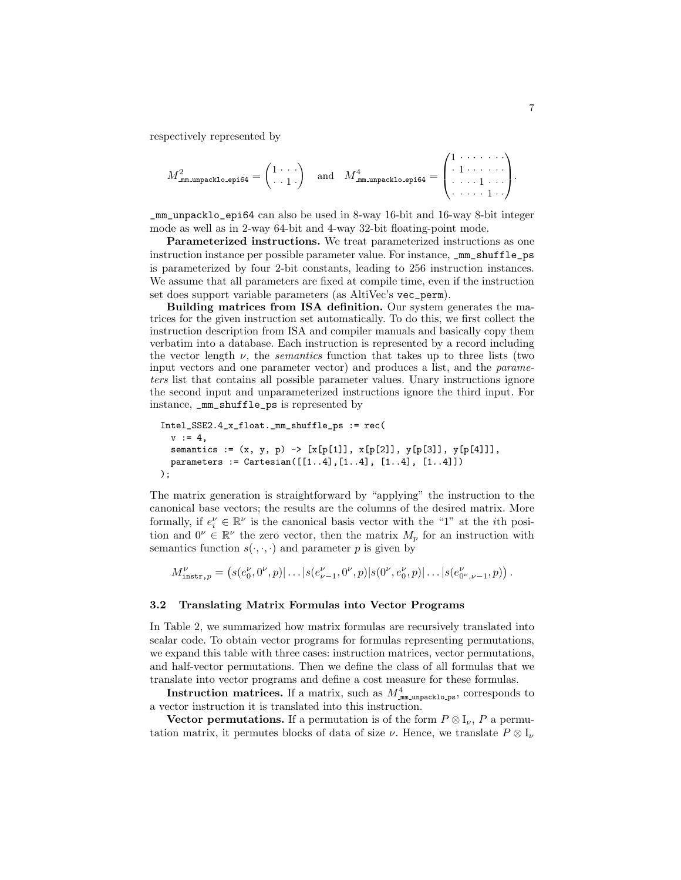respectively represented by

$$
M^2_{\texttt{mm-unpacklo sepi64}} = \begin{pmatrix} 1 & \cdots \\ \cdot & 1 \end{pmatrix} \quad \text{and} \quad M^4_{\texttt{mm-unpacklo sepi64}} = \begin{pmatrix} 1 & \cdots & \cdots \\ \cdot & 1 & \cdots & \cdots \\ \cdot & \cdots & 1 & \cdots \end{pmatrix}.
$$

\_mm\_unpacklo\_epi64 can also be used in 8-way 16-bit and 16-way 8-bit integer mode as well as in 2-way 64-bit and 4-way 32-bit floating-point mode.

Parameterized instructions. We treat parameterized instructions as one instruction instance per possible parameter value. For instance, \_mm\_shuffle\_ps is parameterized by four 2-bit constants, leading to 256 instruction instances. We assume that all parameters are fixed at compile time, even if the instruction set does support variable parameters (as AltiVec's vec\_perm).

Building matrices from ISA definition. Our system generates the matrices for the given instruction set automatically. To do this, we first collect the instruction description from ISA and compiler manuals and basically copy them verbatim into a database. Each instruction is represented by a record including the vector length  $\nu$ , the *semantics* function that takes up to three lists (two input vectors and one parameter vector) and produces a list, and the parameters list that contains all possible parameter values. Unary instructions ignore the second input and unparameterized instructions ignore the third input. For instance, \_mm\_shuffle\_ps is represented by

```
Intel_SSE2.4_x_float._mm_shuffle_ps := rec(
  v := 4.
  semantics := (x, y, p) -> [x[p[1]], x[p[2]], y[p[3]], y[p[4]]],parameters := Cartesian([1..4], [1..4], [1..4], [1..4]));
```
The matrix generation is straightforward by "applying" the instruction to the canonical base vectors; the results are the columns of the desired matrix. More formally, if  $e_i^{\nu} \in \mathbb{R}^{\nu}$  is the canonical basis vector with the "1" at the *i*th position and  $0^{\nu} \in \mathbb{R}^{\nu}$  the zero vector, then the matrix  $M_p$  for an instruction with semantics function  $s(\cdot, \cdot, \cdot)$  and parameter p is given by

$$
M_{\tt instr,p}^{\nu} = \left(s(e_0^{\nu}, 0^{\nu}, p)| \ldots |s(e_{\nu-1}^{\nu}, 0^{\nu}, p)| s(0^{\nu}, e_0^{\nu}, p)| \ldots |s(e_{0^{\nu}, \nu-1}^{\nu}, p)\right).
$$

### 3.2 Translating Matrix Formulas into Vector Programs

In Table 2, we summarized how matrix formulas are recursively translated into scalar code. To obtain vector programs for formulas representing permutations, we expand this table with three cases: instruction matrices, vector permutations, and half-vector permutations. Then we define the class of all formulas that we translate into vector programs and define a cost measure for these formulas.

Instruction matrices. If a matrix, such as  $M_{\text{mm\_unpacklo-ps}}^4$ , corresponds to a vector instruction it is translated into this instruction.

Vector permutations. If a permutation is of the form  $P \otimes I_{\nu}$ , P a permutation matrix, it permutes blocks of data of size  $\nu$ . Hence, we translate  $P \otimes I_{\nu}$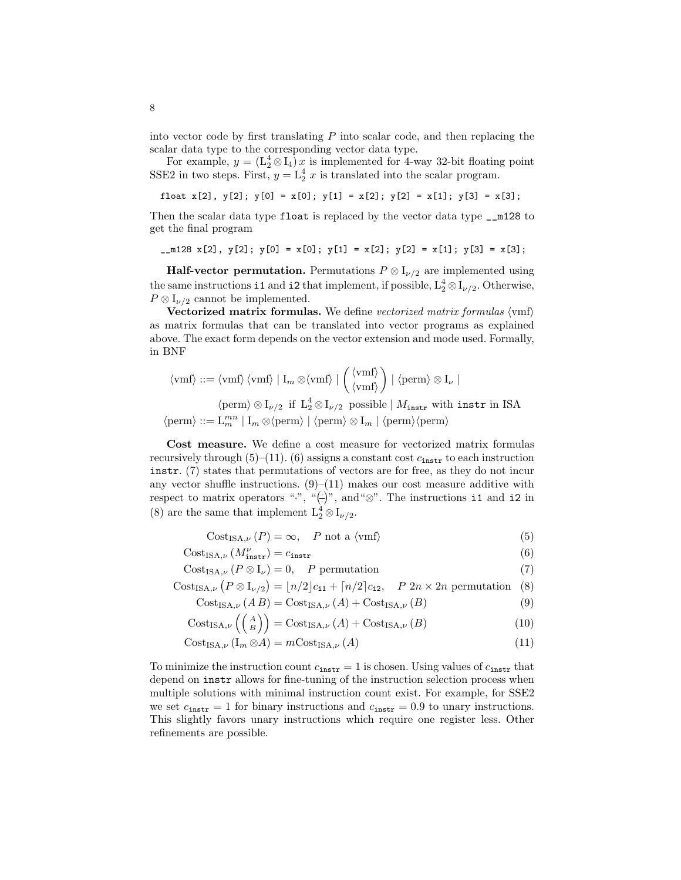into vector code by first translating  $P$  into scalar code, and then replacing the scalar data type to the corresponding vector data type.

For example,  $y = (L_2^4 \otimes I_4) x$  is implemented for 4-way 32-bit floating point SSE2 in two steps. First,  $y = L_2^4 x$  is translated into the scalar program.

float  $x[2]$ ,  $y[2]$ ;  $y[0] = x[0]$ ;  $y[1] = x[2]$ ;  $y[2] = x[1]$ ;  $y[3] = x[3]$ ;

Then the scalar data type float is replaced by the vector data type  $\text{I}^{\text{m}}$  128 to get the final program

 $_{2}m128$  x[2], y[2]; y[0] = x[0]; y[1] = x[2]; y[2] = x[1]; y[3] = x[3];

**Half-vector permutation.** Permutations  $P \otimes I_{\nu/2}$  are implemented using the same instructions i1 and i2 that implement, if possible,  $L_2^4 \otimes I_{\nu/2}$ . Otherwise,  $P \otimes I_{\nu/2}$  cannot be implemented.

Vectorized matrix formulas. We define vectorized matrix formulas  $\langle \text{vmf} \rangle$ as matrix formulas that can be translated into vector programs as explained above. The exact form depends on the vector extension and mode used. Formally, in BNF

$$
\langle \text{vmf} \rangle ::= \langle \text{vmf} \rangle \langle \text{vmf} \rangle \mid I_m \otimes \langle \text{vmf} \rangle \mid \begin{pmatrix} \langle \text{vmf} \rangle \\ \langle \text{vmf} \rangle \end{pmatrix} \mid \langle \text{perm} \rangle \otimes I_{\nu} \mid
$$
\n
$$
\langle \text{perm} \rangle \otimes I_{\nu/2} \text{ if } L_2^4 \otimes I_{\nu/2} \text{ possible} \mid M_{\text{instr}} \text{ with } \text{instr in ISA}
$$
\n
$$
\langle \text{perm} \rangle ::= L_m^{mn} \mid I_m \otimes \langle \text{perm} \rangle \mid \langle \text{perm} \rangle \otimes I_m \mid \langle \text{perm} \rangle \langle \text{perm} \rangle
$$

Cost measure. We define a cost measure for vectorized matrix formulas recursively through  $(5)$ – $(11)$ .  $(6)$  assigns a constant cost  $c_{\text{instr}}$  to each instruction instr. (7) states that permutations of vectors are for free, as they do not incur any vector shuffle instructions.  $(9)$ – $(11)$  makes our cost measure additive with any vector snume instructions. (9)–(11) makes our cost measure additive with respect to matrix operators ".", "(– $\mid$ )", and "⊗". The instructions **i1** and **i2** in (8) are the same that implement  $L_2^4 \otimes I_{\nu/2}$ .

$$
Cost_{ISA,\nu}(P) = \infty, \quad P \text{ not a } \langle \text{vmf} \rangle \tag{5}
$$

 $\text{Cost}_{\text{ISA},\nu} (M_{\text{instr}}^{\nu}) = c_{\text{instr}}$  (6)

Cost<sub>ISA,ν</sub>  $(P \otimes I_{\nu}) = 0$ , *P* permutation (7)<br>Cost<sub>ISA,ν</sub>  $(P \otimes I_{\nu/2}) = \lfloor n/2 \rfloor c_{i1} + \lceil n/2 \rceil c_{i2}$ , *P*  $2n \times 2n$  permutation (8)

$$
Cost_{ISA,\nu} (P \otimes I_{\nu/2}) = \lfloor n/2 \rfloor c_{i1} + \lceil n/2 \rceil c_{i2}, \quad P \ 2n \times 2n \text{ permutation } (8)
$$

$$
Cost_{ISA,\nu}(AB) = Cost_{ISA,\nu}(A) + Cost_{ISA,\nu}(B)
$$
\n(9)

$$
Cost_{ISA,\nu} (A) = Cost_{ISA,\nu} (A) + Cost_{ISA,\nu} (B)
$$
\n
$$
(10)
$$

$$
CostISA, \nu (Im \otimes A) = mCostISA, \nu (A)
$$
\n(11)

To minimize the instruction count  $c_{\text{instr}} = 1$  is chosen. Using values of  $c_{\text{instr}}$  that depend on instr allows for fine-tuning of the instruction selection process when multiple solutions with minimal instruction count exist. For example, for SSE2 we set  $c_{\text{instr}} = 1$  for binary instructions and  $c_{\text{instr}} = 0.9$  to unary instructions. This slightly favors unary instructions which require one register less. Other refinements are possible.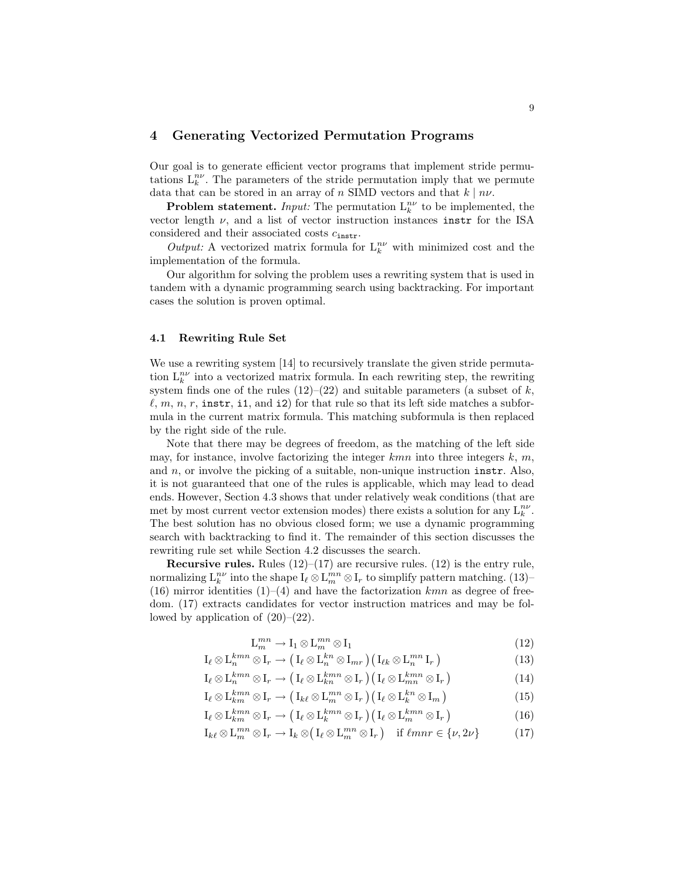# 4 Generating Vectorized Permutation Programs

Our goal is to generate efficient vector programs that implement stride permutations  $L_k^{n\nu}$ . The parameters of the stride permutation imply that we permute data that can be stored in an array of n SIMD vectors and that  $k \mid n\nu$ .

**Problem statement.** Input: The permutation  $L_k^{n\nu}$  to be implemented, the vector length  $\nu$ , and a list of vector instruction instances instr for the ISA considered and their associated costs  $c_{\text{instr}}$ .

Output: A vectorized matrix formula for  $L_k^{n\nu}$  with minimized cost and the implementation of the formula.

Our algorithm for solving the problem uses a rewriting system that is used in tandem with a dynamic programming search using backtracking. For important cases the solution is proven optimal.

### 4.1 Rewriting Rule Set

We use a rewriting system [14] to recursively translate the given stride permutation  $L_k^{n\nu}$  into a vectorized matrix formula. In each rewriting step, the rewriting system finds one of the rules  $(12)$ – $(22)$  and suitable parameters (a subset of k,  $\ell, m, n, r$ , instr, i1, and i2) for that rule so that its left side matches a subformula in the current matrix formula. This matching subformula is then replaced by the right side of the rule.

Note that there may be degrees of freedom, as the matching of the left side may, for instance, involve factorizing the integer  $kmn$  into three integers k, m, and  $n$ , or involve the picking of a suitable, non-unique instruction instr. Also, it is not guaranteed that one of the rules is applicable, which may lead to dead ends. However, Section 4.3 shows that under relatively weak conditions (that are met by most current vector extension modes) there exists a solution for any  $L_k^{nv}$ . The best solution has no obvious closed form; we use a dynamic programming search with backtracking to find it. The remainder of this section discusses the rewriting rule set while Section 4.2 discusses the search.

**Recursive rules.** Rules  $(12)$ – $(17)$  are recursive rules.  $(12)$  is the entry rule, normalizing  $\mathrm{L}^{n\nu}_k$  into the shape  $\mathrm{I}_\ell\otimes\mathrm{L}^{mn}_m\otimes\mathrm{I}_r$  to simplify pattern matching. (13)– (16) mirror identities  $(1)–(4)$  and have the factorization kmn as degree of freedom. (17) extracts candidates for vector instruction matrices and may be followed by application of  $(20)$ – $(22)$ .

$$
\mathcal{L}_m^{mn} \to \mathcal{I}_1 \otimes \mathcal{L}_m^{mn} \otimes \mathcal{I}_1 \tag{12}
$$

$$
I_{\ell} \otimes L_m^{kmn} \otimes I_r \to (I_{\ell} \otimes L_m^{kn} \otimes I_{mr}) (I_{\ell k} \otimes L_m^{mn} I_r)
$$
(13)

$$
I_{\ell} \otimes L_m^{kmn} \otimes I_r \to (I_{\ell} \otimes L_{km}^{kmn} \otimes I_r) (I_{\ell} \otimes L_{mn}^{kmn} \otimes I_r)
$$
(14)

$$
I_{\ell} \otimes L_{km}^{kmn} \otimes I_r \to (I_{k\ell} \otimes L_m^{mn} \otimes I_r) (I_{\ell} \otimes L_k^{kn} \otimes I_m)
$$
(15)

$$
I_{\ell} \otimes L_{km}^{kmn} \otimes I_r \to (I_{\ell} \otimes L_k^{kmn} \otimes I_r) (I_{\ell} \otimes L_m^{kmn} \otimes I_r)
$$
(16)

 $\mathrm{I}_{k\ell} \otimes \mathrm{L}_m^{mn} \otimes \mathrm{I}_r \longrightarrow \mathrm{I}_k \otimes$  $\mathrm{I}_\ell\otimes \mathrm{L}_m^{mn}\otimes \mathrm{I}_r$ if  $\ell mnr \in \{\nu, 2\nu\}$  (17)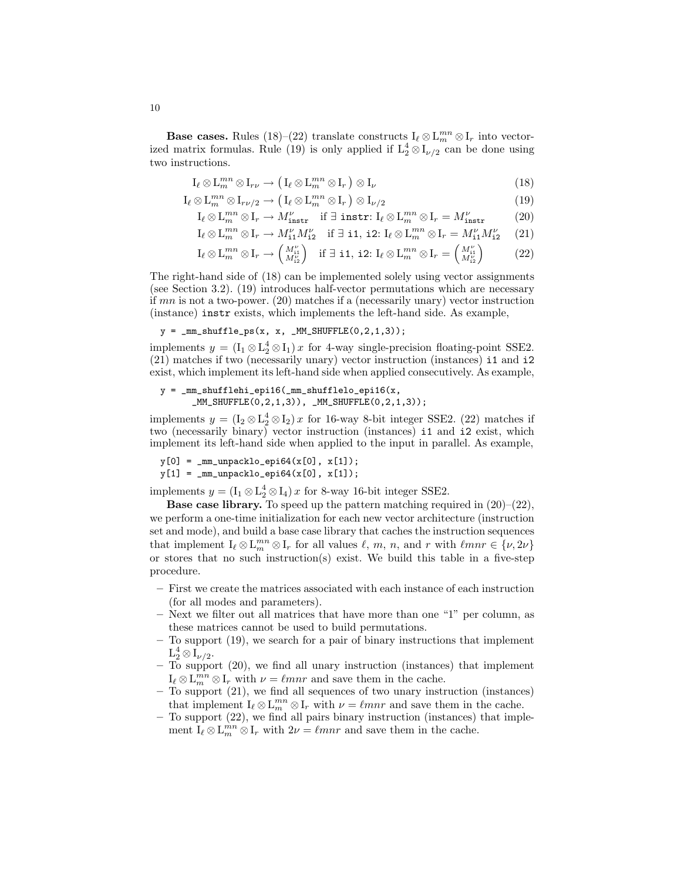Base cases. Rules (18)–(22) translate constructs  $I_\ell \otimes L_m^{mn} \otimes I_r$  into vectorized matrix formulas. Rule (19) is only applied if  $L_2^4 \otimes I_{\nu/2}$  can be done using two instructions.

$$
\mathcal{I}_{\ell} \otimes \mathcal{L}_{m}^{mn} \otimes \mathcal{I}_{r\nu} \to \left(\mathcal{I}_{\ell} \otimes \mathcal{L}_{m}^{mn} \otimes \mathcal{I}_{r}\right) \otimes \mathcal{I}_{\nu}
$$
\n(18)

$$
I_{\ell} \otimes L_m^m \otimes I_{r\nu/2} \to (I_{\ell} \otimes L_m^m \otimes I_r) \otimes I_{\nu/2}
$$
\n
$$
(19)
$$

$$
\mathcal{I}_{\ell} \otimes \mathcal{L}_{m}^{mn} \otimes \mathcal{I}_{r} \to M_{\text{instr}}^{\nu} \quad \text{if } \exists \text{ instr: } \mathcal{I}_{\ell} \otimes \mathcal{L}_{m}^{mn} \otimes \mathcal{I}_{r} = M_{\text{instr}}^{\nu} \tag{20}
$$

$$
\mathcal{I}_{\ell} \otimes \mathcal{L}_m^{mn} \otimes \mathcal{I}_r \to M_1^{\nu} M_2^{\nu} \quad \text{if } \exists \text{ i1, i2: } \mathcal{I}_{\ell} \otimes \mathcal{L}_m^{mn} \otimes \mathcal{I}_r = M_1^{\nu} M_2^{\nu} \tag{21}
$$

$$
I_{\ell} \otimes L_m^{mn} \otimes I_r \to M_{11}^{11} M_{12}^{12} \quad \text{if } \exists \text{ i1, i2: } I_{\ell} \otimes L_m^{mn} \otimes I_r = M_{11}^{11} M_{12}^{12} \tag{21}
$$
  

$$
I_{\ell} \otimes L_m^{mn} \otimes I_r \to \begin{pmatrix} M_{11}^{n1} \\ M_{12}^{n2} \end{pmatrix} \quad \text{if } \exists \text{ i1, i2: } I_{\ell} \otimes L_m^{mn} \otimes I_r = \begin{pmatrix} M_{11}^{n1} \\ M_{12}^{n2} \end{pmatrix} \tag{22}
$$

The right-hand side of (18) can be implemented solely using vector assignments (see Section 3.2). (19) introduces half-vector permutations which are necessary if  $mn$  is not a two-power. (20) matches if a (necessarily unary) vector instruction (instance) instr exists, which implements the left-hand side. As example,

$$
y = \_\texttt{mm\_shuffle} ps(x, x, \_\texttt{MM\_SHUFFLE}(0, 2, 1, 3));
$$

implements  $y = (I_1 \otimes L_2^4 \otimes I_1) x$  for 4-way single-precision floating-point SSE2. (21) matches if two (necessarily unary) vector instruction (instances) i1 and i2 exist, which implement its left-hand side when applied consecutively. As example,

```
y = \text{mm\_shufflehi\_epi16}(\text{mm\_shufflelo\_epi16}(x,_MM_SHUFFLE(0,2,1,3)), _MM_SHUFFLE(0,2,1,3);
```
implements  $y = (I_2 \otimes I_2^4 \otimes I_2) x$  for 16-way 8-bit integer SSE2. (22) matches if two (necessarily binary) vector instruction (instances) i1 and i2 exist, which implement its left-hand side when applied to the input in parallel. As example,

 $y[0] = \text{mm\_unpacklo\_epi64}(x[0], x[1]);$  $y[1] = \texttt{mm\_unpacklo\_epi64}(x[0], x[1]);$ 

implements  $y = (\mathbf{I}_1 \otimes \mathbf{L}_2^4 \otimes \mathbf{I}_4) x$  for 8-way 16-bit integer SSE2.

Base case library. To speed up the pattern matching required in (20)–(22), we perform a one-time initialization for each new vector architecture (instruction set and mode), and build a base case library that caches the instruction sequences that implement  $I_\ell \otimes L_m^{mn} \otimes I_r$  for all values  $\ell, m, n$ , and r with  $\ell mnr \in {\lbrace \nu, 2\nu \rbrace}$ or stores that no such instruction(s) exist. We build this table in a five-step procedure.

- First we create the matrices associated with each instance of each instruction (for all modes and parameters).
- Next we filter out all matrices that have more than one "1" per column, as these matrices cannot be used to build permutations.
- To support (19), we search for a pair of binary instructions that implement  $\mathrm{L}^4_2 \otimes \overline{\mathrm{I}_{\nu/2}}.$
- To support (20), we find all unary instruction (instances) that implement  $I_{\ell} \otimes L_m^{mn} \otimes I_r$  with  $\nu = \ell mnr$  and save them in the cache.
- To support (21), we find all sequences of two unary instruction (instances) that implement  $I_\ell \otimes L_m^{mn} \otimes I_r$  with  $\nu = \ell mnr$  and save them in the cache.
- To support (22), we find all pairs binary instruction (instances) that implement  $I_\ell \otimes L_m^{mn} \otimes I_r$  with  $2\nu = \ell mnr$  and save them in the cache.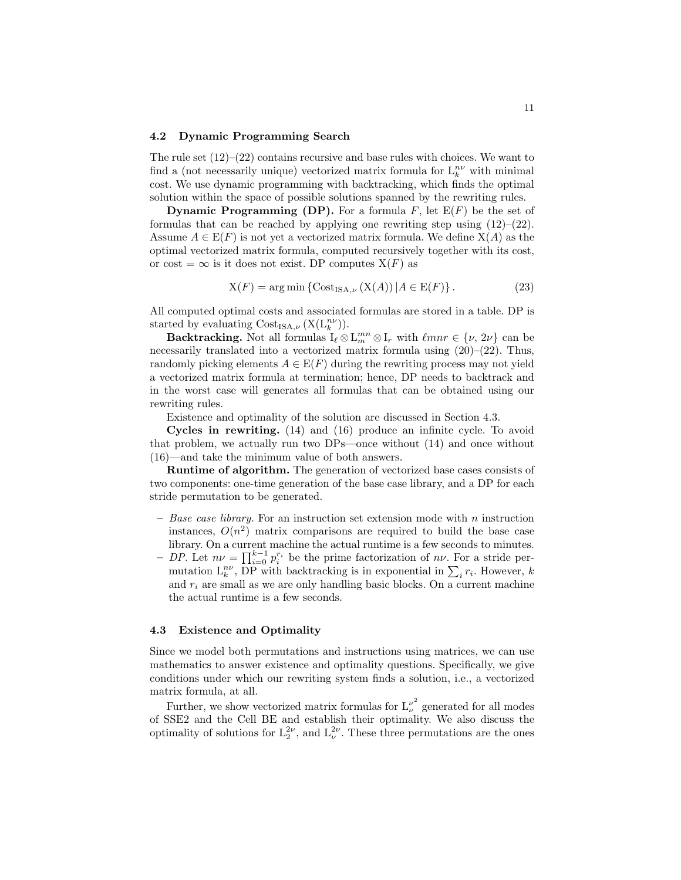#### 4.2 Dynamic Programming Search

The rule set  $(12)$ – $(22)$  contains recursive and base rules with choices. We want to find a (not necessarily unique) vectorized matrix formula for  $L_k^{n\nu}$  with minimal cost. We use dynamic programming with backtracking, which finds the optimal solution within the space of possible solutions spanned by the rewriting rules.

**Dynamic Programming (DP).** For a formula  $F$ , let  $E(F)$  be the set of formulas that can be reached by applying one rewriting step using  $(12)$ – $(22)$ . Assume  $A \in E(F)$  is not yet a vectorized matrix formula. We define  $X(A)$  as the optimal vectorized matrix formula, computed recursively together with its cost, or cost =  $\infty$  is it does not exist. DP computes  $X(F)$  as

$$
X(F) = \arg\min \left\{ \text{Cost}_{\text{ISA},\nu} \left( X(A) \right) | A \in E(F) \right\}. \tag{23}
$$

All computed optimal costs and associated formulas are stored in a table. DP is started by evaluating  $Cost_{\text{ISA},\nu}(\text{X}(\text{L}_k^{n\nu})).$ 

**Backtracking.** Not all formulas  $I_\ell \otimes L_m^{mn} \otimes I_r$  with  $\ell mnr \in {\{\nu, 2\nu\}}$  can be necessarily translated into a vectorized matrix formula using  $(20)-(22)$ . Thus, randomly picking elements  $A \in E(F)$  during the rewriting process may not yield a vectorized matrix formula at termination; hence, DP needs to backtrack and in the worst case will generates all formulas that can be obtained using our rewriting rules.

Existence and optimality of the solution are discussed in Section 4.3.

Cycles in rewriting. (14) and (16) produce an infinite cycle. To avoid that problem, we actually run two DPs—once without (14) and once without (16)—and take the minimum value of both answers.

Runtime of algorithm. The generation of vectorized base cases consists of two components: one-time generation of the base case library, and a DP for each stride permutation to be generated.

- $-$  Base case library. For an instruction set extension mode with n instruction instances,  $O(n^2)$  matrix comparisons are required to build the base case library. On a current machine the actual runtime is a few seconds to minutes.
- fibrary. On a current machine the actual runtime is a few seconds to minutes.<br>  $-DP$ . Let  $n\nu = \prod_{i=0}^{k-1} p_i^{r_i}$  be the prime factorization of  $n\nu$ . For a stride per-DP. Let  $n\nu = \prod_{i=0}^{\infty} p_i$  be the prime factorization of  $n\nu$ . For a stride permutation  $\sum_k r_i$ . However, k and  $r_i$  are small as we are only handling basic blocks. On a current machine the actual runtime is a few seconds.

### 4.3 Existence and Optimality

Since we model both permutations and instructions using matrices, we can use mathematics to answer existence and optimality questions. Specifically, we give conditions under which our rewriting system finds a solution, i.e., a vectorized matrix formula, at all.

Further, we show vectorized matrix formulas for  $L^{\nu^2}_{\nu}$  generated for all modes of SSE2 and the Cell BE and establish their optimality. We also discuss the optimality of solutions for  $L_2^{2\nu}$ , and  $L_{\nu}^{2\nu}$ . These three permutations are the ones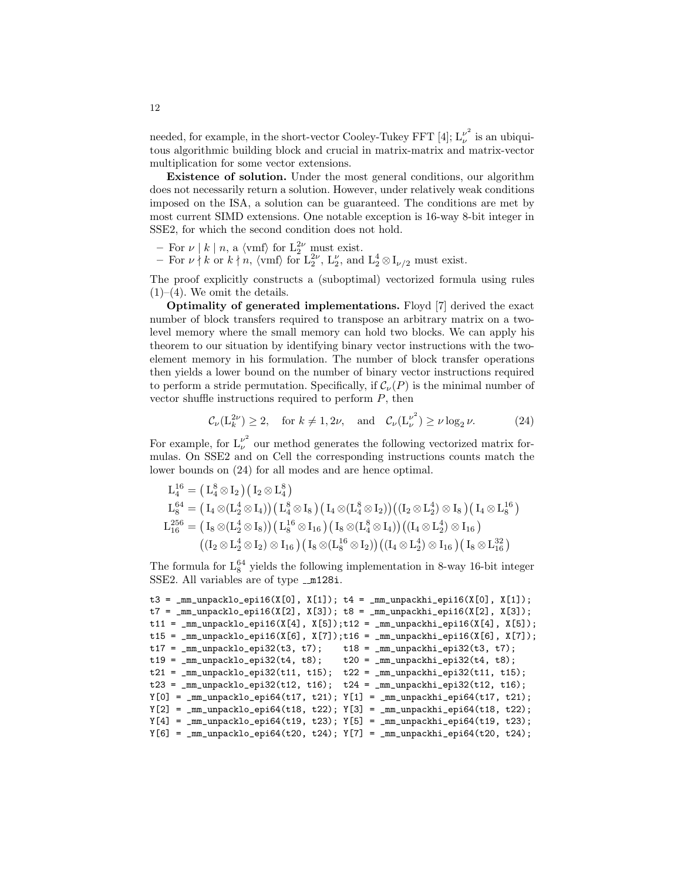needed, for example, in the short-vector Cooley-Tukey FFT [4];  $L^{\nu^2}_{\nu}$  $\frac{\nu}{\nu}$  is an ubiquitous algorithmic building block and crucial in matrix-matrix and matrix-vector multiplication for some vector extensions.

Existence of solution. Under the most general conditions, our algorithm does not necessarily return a solution. However, under relatively weak conditions imposed on the ISA, a solution can be guaranteed. The conditions are met by most current SIMD extensions. One notable exception is 16-way 8-bit integer in SSE2, for which the second condition does not hold.

- For  $\nu \mid k \mid n$ , a  $\langle \text{vmf} \rangle$  for  $L_2^{2\nu}$  must exist.
- For  $\nu \nmid k$  or  $k \nmid n$ ,  $\langle \text{vmf} \rangle$  for  $\mathcal{L}_2^{2\nu}$ ,  $\mathcal{L}_2^{\nu}$ , and  $\mathcal{L}_2^4 \otimes \mathcal{L}_{\nu/2}$  must exist.

The proof explicitly constructs a (suboptimal) vectorized formula using rules  $(1)–(4)$ . We omit the details.

Optimality of generated implementations. Floyd [7] derived the exact number of block transfers required to transpose an arbitrary matrix on a twolevel memory where the small memory can hold two blocks. We can apply his theorem to our situation by identifying binary vector instructions with the twoelement memory in his formulation. The number of block transfer operations then yields a lower bound on the number of binary vector instructions required to perform a stride permutation. Specifically, if  $\mathcal{C}_{\nu}(P)$  is the minimal number of vector shuffle instructions required to perform  $P$ , then

$$
\mathcal{C}_{\nu}(\mathcal{L}_{k}^{2\nu}) \ge 2, \quad \text{for } k \neq 1, 2\nu, \quad \text{and} \quad \mathcal{C}_{\nu}(\mathcal{L}_{\nu}^{\nu^{2}}) \ge \nu \log_{2} \nu. \tag{24}
$$

For example, for  $L^{\nu^2}_{\nu}$  our method generates the following vectorized matrix formulas. On SSE2 and on Cell the corresponding instructions counts match the lower bounds on (24) for all modes and are hence optimal.

$$
\begin{array}{l} L_4^{16}=\big(L_4^8\otimes I_2\big)\big(I_2\otimes L_4^8\big)\\ L_8^{64}=\big(I_4\otimes (L_2^4\otimes I_4)\big)\big(\,L_4^8\otimes I_8\,\big)\big(\,I_4\otimes (L_4^8\otimes I_2)\big)\big(\big(I_2\otimes L_2^4\big)\otimes I_8\,\big)\big(\,I_4\otimes L_8^{16}\,\big)\\ L_{16}^{256}=\big(\,I_8\otimes (L_2^4\otimes I_8)\big)\big(\,L_8^{16}\otimes I_{16}\,\big)\big(\,I_8\otimes (L_4^8\otimes I_4)\big)\big(\big(I_4\otimes L_2^4\big)\otimes I_{16}\,\big)\\ \big(\big(I_2\otimes L_2^4\otimes I_2\big)\otimes I_{16}\,\big)\big(\,I_8\otimes (L_8^{16}\otimes I_2)\big)\big(\big(I_4\otimes L_2^4\big)\otimes I_{16}\,\big)\big(\,I_8\otimes L_{16}^{32}\,\big)\\ \end{array}
$$

The formula for  $L_8^{64}$  yields the following implementation in 8-way 16-bit integer SSE2. All variables are of type  $\_m128i$ .

```
t3 = \text{mm\_unpacklo\_epi16(X[0], X[1]); t4 = \text{mm\_unpackhi\_epi16(X[0], X[1]); t4 = \text{mm\_unpackhi\_epi16(X[0], X[1]); t4 = \text{mm\_unpackhi\_epi16(X[0], X[1]); t4 = \text{mm\_unpackhi\_epi16(X[0], X[1]); t4 = \text{mm\_unpackhi\_epi16(X[0], X[1]); t4 = \text{mm\_unpackhi\_epi16(X[0], X[1]); t4 = \text{mm\_unpackhi\_epi16(X[0], X[1]); t4 = \text{mm\_unpackhi\_epi16(X[0], X[1]); t4 = \t7 = \text{mm\_unpacklo\_epi16(X[2], X[3]); t8 = \text{mm\_unpackhi\_epi16(X[2], X[3]); t8 = \text{mm\_unpackhi\_epi16(X[2], X[3]); t8 = \text{mm\_unpackhi\_epi16(X[2], X[3]); t8 = \text{mm\_unpackhi\_epi16(X[2], X[3]); t8 = \text{mm\_unpackhi\_epi16(X[2], X[3]); t8 = \text{mm\_unpackhi\_epi16(X[2], X[3]); t8 = \text{mm\_unpackhi\_epi16(X[2], X[3]); t8 = \text{mm\_unpackhi\_epi16(X[2], X[3]); t8 = \t11 = \text{mm\_unpacklo\_epi16(X[4], X[5]); t12 = \text{mm\_unpackhi\_epi16(X[4], X[5]); t13 = \text{mm\_unpackhi\_epi16(X[4], X[5]); t14 = \text{mm\_unpackhi\_epi16(X[4], X[5]); t14 = \text{mm\_unpackhi\_epi16(X[4], X[5]); t14 = \text{mm\_unpackhi\_epi16(X[4], X[5]); t14 = \text{mm\_unpackhi\_epi16(X[4], X[5]); t14 = \text{mm\_unpackhi\_epi16(X[4], X[5]); t14 = \text{mm\_unpackhi\_epi16(X[4t15 = \text{mm\_unpacklo\_epi16(X[6], X[7]); t16 = \text{mm\_unpackhi\_epi16(X[6], X[7]); t16 = \text{mm\_unpackhi\_epi16(X[6], X[7]); t16 = \text{mm\_unpackhi\_epi16(X[6], X[7]); t16 = \text{mm\_unpackhi\_epi16(X[6], X[7]); t16 = \text{mm\_unpackhi\_epi16(X[6], X[7]); t16 = \text{mm\_unpackhi\_epi16(X[6], X[7]); t16 = \text{mm\_unpackhi\_epi16(X[6], X[7]); t16 = \text{mm\_unpackhi\_epi16(X[6t17 = \text{mm\_unpacklo\_epi32}(t3, t7); t18 = \text{mm\_unpackhi\_epi32}(t3, t7);t19 = \text{mm\_unpacklo\_epi32(t4, t8)}; t20 = \text{mm\_unpackhi\_epi32(t4, t8)};t21 = \text{mm\_unpacklo\_epi32(t11, t15)}; t22 = \text{mm\_unpackhi\_epi32(t11, t15)};
t23 = \text{mm\_unpacklo\_epi32(t12, t16)}; t24 = \text{mm\_unpackhi\_epi32(t12, t16)};Y[0] = \text{mm\_unpacklo\_epi64(t17, t21); } Y[1] = \text{mm\_unpackhi\_epi64(t17, t21); }Y[2] = \text{mm\_unpacklo\_epi64(t18, t22); } Y[3] = \text{mm\_unpackhi\_epi64(t18, t22); }Y[4] = \text{mm\_unpacklo\_epi64(t19, t23)}; Y[5] = \text{mm\_unpackhi\_epi64(t19, t23)};Y[6] = \text{mm\_unpacklo\_epi64(t20, t24)}; Y[7] = \text{mm\_unpackhi\_epi64(t20, t24)};
```
12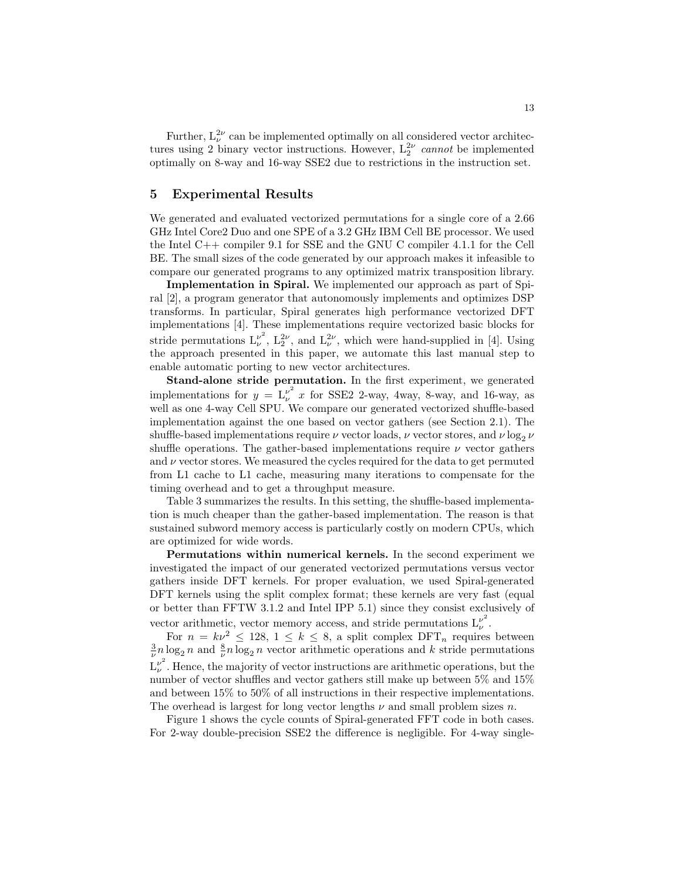Further,  $L_{\nu}^{2\nu}$  can be implemented optimally on all considered vector architectures using 2 binary vector instructions. However,  $L_2^{2\nu}$  cannot be implemented optimally on 8-way and 16-way SSE2 due to restrictions in the instruction set.

### 5 Experimental Results

We generated and evaluated vectorized permutations for a single core of a 2.66 GHz Intel Core2 Duo and one SPE of a 3.2 GHz IBM Cell BE processor. We used the Intel C++ compiler 9.1 for SSE and the GNU C compiler 4.1.1 for the Cell BE. The small sizes of the code generated by our approach makes it infeasible to compare our generated programs to any optimized matrix transposition library.

Implementation in Spiral. We implemented our approach as part of Spiral [2], a program generator that autonomously implements and optimizes DSP transforms. In particular, Spiral generates high performance vectorized DFT implementations [4]. These implementations require vectorized basic blocks for stride permutations  $L_{\nu}^{\nu^2}$  $\nu^2$ ,  $L_2^{2\nu}$ , and  $L_{\nu}^{2\nu}$ , which were hand-supplied in [4]. Using the approach presented in this paper, we automate this last manual step to enable automatic porting to new vector architectures.

Stand-alone stride permutation. In the first experiment, we generated implementations for  $y = L_{\nu}^{\nu^2} x$  for SSE2 2-way, 4way, 8-way, and 16-way, as well as one 4-way Cell SPU. We compare our generated vectorized shuffle-based implementation against the one based on vector gathers (see Section 2.1). The shuffle-based implementations require  $\nu$  vector loads,  $\nu$  vector stores, and  $\nu \log_2 \nu$ shuffle operations. The gather-based implementations require  $\nu$  vector gathers and  $\nu$  vector stores. We measured the cycles required for the data to get permuted from L1 cache to L1 cache, measuring many iterations to compensate for the timing overhead and to get a throughput measure.

Table 3 summarizes the results. In this setting, the shuffle-based implementation is much cheaper than the gather-based implementation. The reason is that sustained subword memory access is particularly costly on modern CPUs, which are optimized for wide words.

Permutations within numerical kernels. In the second experiment we investigated the impact of our generated vectorized permutations versus vector gathers inside DFT kernels. For proper evaluation, we used Spiral-generated DFT kernels using the split complex format; these kernels are very fast (equal or better than FFTW 3.1.2 and Intel IPP 5.1) since they consist exclusively of vector arithmetic, vector memory access, and stride permutations  $L_{\nu}^{\nu^2}$  $\frac{\nu}{\nu}$ .

For  $n = k\nu^2 \le 128$ ,  $1 \le k \le 8$ , a split complex DFT<sub>n</sub> requires between  $\frac{3}{\nu}n \log_2 n$  and  $\frac{8}{\nu}n \log_2 n$  vector arithmetic operations and k stride permutations  $L^{\nu^2}_{\nu}$  $v^2$ . Hence, the majority of vector instructions are arithmetic operations, but the number of vector shuffles and vector gathers still make up between 5% and 15% and between 15% to 50% of all instructions in their respective implementations. The overhead is largest for long vector lengths  $\nu$  and small problem sizes n.

Figure 1 shows the cycle counts of Spiral-generated FFT code in both cases. For 2-way double-precision SSE2 the difference is negligible. For 4-way single-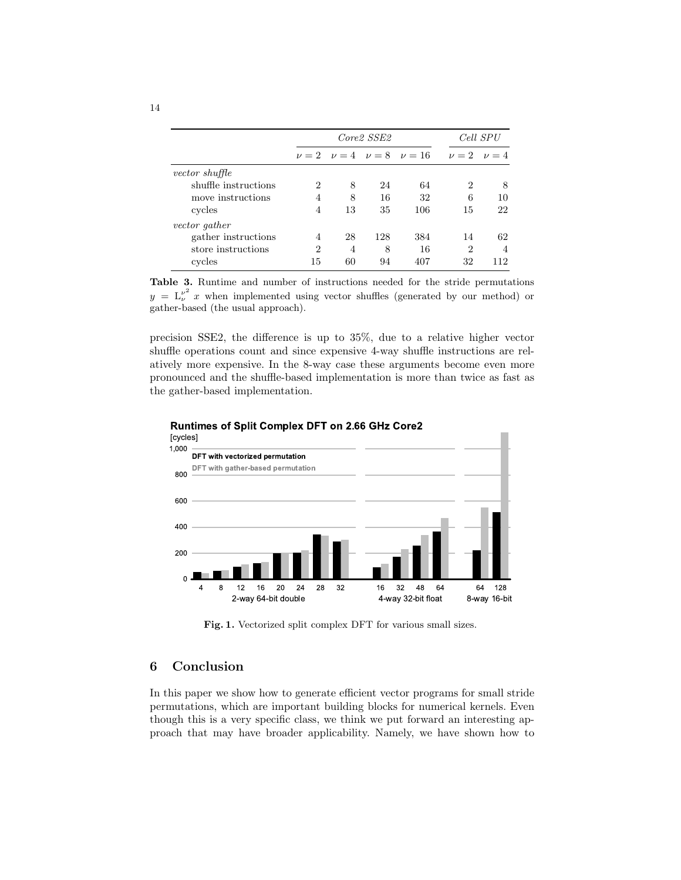|                       | Core <sub>2</sub> SSE <sub>2</sub> |    |     |                                          | Cell SPU       |                     |
|-----------------------|------------------------------------|----|-----|------------------------------------------|----------------|---------------------|
|                       |                                    |    |     | $\nu = 2$ $\nu = 4$ $\nu = 8$ $\nu = 16$ |                | $\nu = 2$ $\nu = 4$ |
| <i>vector shuffle</i> |                                    |    |     |                                          |                |                     |
| shuffle instructions  | 2                                  | 8  | 24  | 64                                       | $\overline{2}$ | 8                   |
| move instructions     | 4                                  | 8  | 16  | 32                                       | 6              | 10                  |
| cycles                | 4                                  | 13 | 35  | 106                                      | 15             | 22                  |
| vector gather         |                                    |    |     |                                          |                |                     |
| gather instructions   | 4                                  | 28 | 128 | 384                                      | 14             | 62                  |
| store instructions    | 2                                  | 4  | 8   | 16                                       | $\overline{2}$ | 4                   |
| cycles                | 15                                 | 60 | 94  | 407                                      | 32             | 112                 |

Table 3. Runtime and number of instructions needed for the stride permutations  $y = L_{\nu}^{\nu^2} x$  when implemented using vector shuffles (generated by our method) or gather-based (the usual approach).

precision SSE2, the difference is up to 35%, due to a relative higher vector shuffle operations count and since expensive 4-way shuffle instructions are relatively more expensive. In the 8-way case these arguments become even more pronounced and the shuffle-based implementation is more than twice as fast as the gather-based implementation.



### Runtimes of Split Complex DFT on 2.66 GHz Core2

Fig. 1. Vectorized split complex DFT for various small sizes.

# 6 Conclusion

In this paper we show how to generate efficient vector programs for small stride permutations, which are important building blocks for numerical kernels. Even though this is a very specific class, we think we put forward an interesting approach that may have broader applicability. Namely, we have shown how to